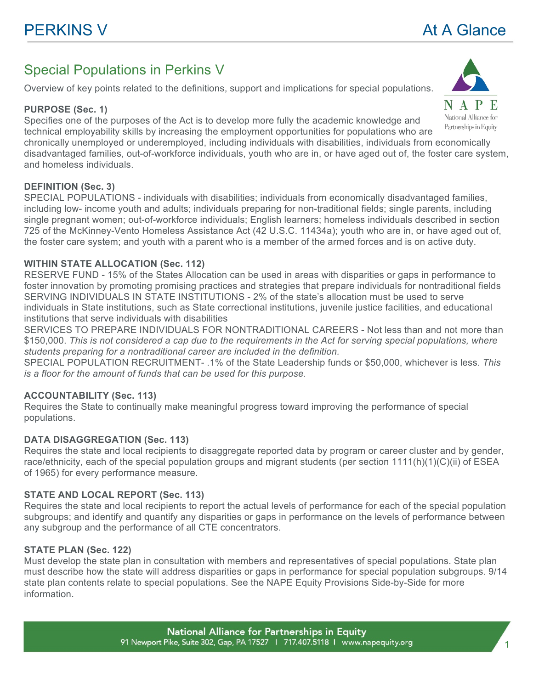# Special Populations in Perkins V

Overview of key points related to the definitions, support and implications for special populations.

# **PURPOSE (Sec. 1)**

Specifies one of the purposes of the Act is to develop more fully the academic knowledge and technical employability skills by increasing the employment opportunities for populations who are

chronically unemployed or underemployed, including individuals with disabilities, individuals from economically disadvantaged families, out-of-workforce individuals, youth who are in, or have aged out of, the foster care system, and homeless individuals.

# **DEFINITION (Sec. 3)**

SPECIAL POPULATIONS - individuals with disabilities; individuals from economically disadvantaged families, including low- income youth and adults; individuals preparing for non-traditional fields; single parents, including single pregnant women; out-of-workforce individuals; English learners; homeless individuals described in section 725 of the McKinney-Vento Homeless Assistance Act (42 U.S.C. 11434a); youth who are in, or have aged out of, the foster care system; and youth with a parent who is a member of the armed forces and is on active duty.

# **WITHIN STATE ALLOCATION (Sec. 112)**

RESERVE FUND - 15% of the States Allocation can be used in areas with disparities or gaps in performance to foster innovation by promoting promising practices and strategies that prepare individuals for nontraditional fields SERVING INDIVIDUALS IN STATE INSTITUTIONS - 2% of the state's allocation must be used to serve individuals in State institutions, such as State correctional institutions, juvenile justice facilities, and educational institutions that serve individuals with disabilities

SERVICES TO PREPARE INDIVIDUALS FOR NONTRADITIONAL CAREERS - Not less than and not more than \$150,000. *This is not considered a cap due to the requirements in the Act for serving special populations, where students preparing for a nontraditional career are included in the definition.* 

SPECIAL POPULATION RECRUITMENT- .1% of the State Leadership funds or \$50,000, whichever is less. *This is a floor for the amount of funds that can be used for this purpose.*

# **ACCOUNTABILITY (Sec. 113)**

Requires the State to continually make meaningful progress toward improving the performance of special populations.

# **DATA DISAGGREGATION (Sec. 113)**

Requires the state and local recipients to disaggregate reported data by program or career cluster and by gender, race/ethnicity, each of the special population groups and migrant students (per section 1111(h)(1)(C)(ii) of ESEA of 1965) for every performance measure.

# **STATE AND LOCAL REPORT (Sec. 113)**

Requires the state and local recipients to report the actual levels of performance for each of the special population subgroups; and identify and quantify any disparities or gaps in performance on the levels of performance between any subgroup and the performance of all CTE concentrators.

# **STATE PLAN (Sec. 122)**

Must develop the state plan in consultation with members and representatives of special populations. State plan must describe how the state will address disparities or gaps in performance for special population subgroups. 9/14 state plan contents relate to special populations. See the NAPE Equity Provisions Side-by-Side for more information.